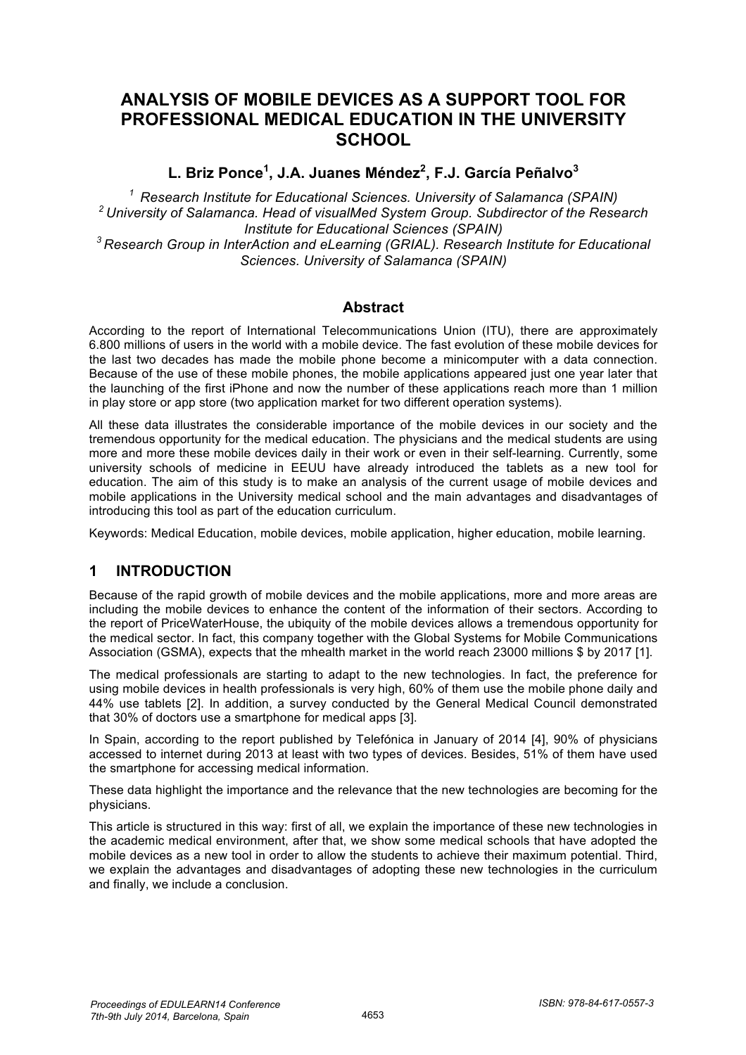# **ANALYSIS OF MOBILE DEVICES AS A SUPPORT TOOL FOR PROFESSIONAL MEDICAL EDUCATION IN THE UNIVERSITY SCHOOL**

**L. Briz Ponce1 , J.A. Juanes Méndez<sup>2</sup> , F.J. García Peñalvo<sup>3</sup>**

*1 Research Institute for Educational Sciences. University of Salamanca (SPAIN) 2 University of Salamanca. Head of visualMed System Group. Subdirector of the Research Institute for Educational Sciences (SPAIN) 3 Research Group in InterAction and eLearning (GRIAL). Research Institute for Educational* 

*Sciences. University of Salamanca (SPAIN)*

#### **Abstract**

According to the report of International Telecommunications Union (ITU), there are approximately 6.800 millions of users in the world with a mobile device. The fast evolution of these mobile devices for the last two decades has made the mobile phone become a minicomputer with a data connection. Because of the use of these mobile phones, the mobile applications appeared just one year later that the launching of the first iPhone and now the number of these applications reach more than 1 million in play store or app store (two application market for two different operation systems).

All these data illustrates the considerable importance of the mobile devices in our society and the tremendous opportunity for the medical education. The physicians and the medical students are using more and more these mobile devices daily in their work or even in their self-learning. Currently, some university schools of medicine in EEUU have already introduced the tablets as a new tool for education. The aim of this study is to make an analysis of the current usage of mobile devices and mobile applications in the University medical school and the main advantages and disadvantages of introducing this tool as part of the education curriculum.

Keywords: Medical Education, mobile devices, mobile application, higher education, mobile learning.

## **1 INTRODUCTION**

Because of the rapid growth of mobile devices and the mobile applications, more and more areas are including the mobile devices to enhance the content of the information of their sectors. According to the report of PriceWaterHouse, the ubiquity of the mobile devices allows a tremendous opportunity for the medical sector. In fact, this company together with the Global Systems for Mobile Communications Association (GSMA), expects that the mhealth market in the world reach 23000 millions \$ by 2017 [1].

The medical professionals are starting to adapt to the new technologies. In fact, the preference for using mobile devices in health professionals is very high, 60% of them use the mobile phone daily and 44% use tablets [2]. In addition, a survey conducted by the General Medical Council demonstrated that 30% of doctors use a smartphone for medical apps [3].

In Spain, according to the report published by Telefónica in January of 2014 [4], 90% of physicians accessed to internet during 2013 at least with two types of devices. Besides, 51% of them have used the smartphone for accessing medical information.

These data highlight the importance and the relevance that the new technologies are becoming for the physicians.

This article is structured in this way: first of all, we explain the importance of these new technologies in the academic medical environment, after that, we show some medical schools that have adopted the mobile devices as a new tool in order to allow the students to achieve their maximum potential. Third, we explain the advantages and disadvantages of adopting these new technologies in the curriculum and finally, we include a conclusion.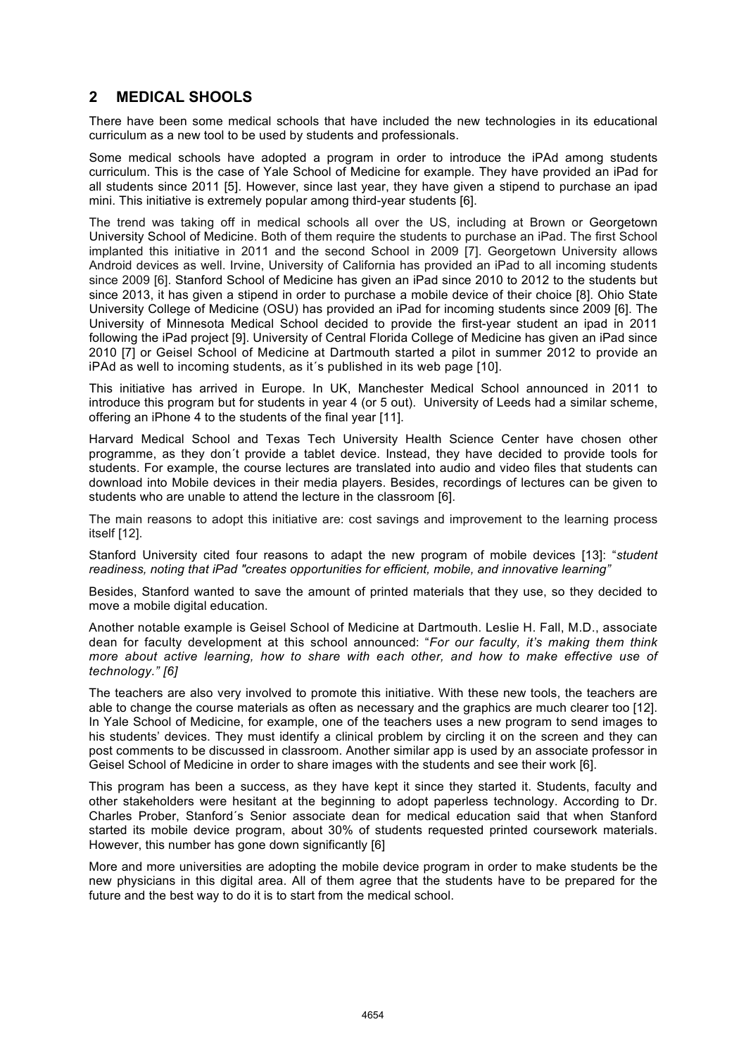### **2 MEDICAL SHOOLS**

There have been some medical schools that have included the new technologies in its educational curriculum as a new tool to be used by students and professionals.

Some medical schools have adopted a program in order to introduce the iPAd among students curriculum. This is the case of Yale School of Medicine for example. They have provided an iPad for all students since 2011 [5]. However, since last year, they have given a stipend to purchase an ipad mini. This initiative is extremely popular among third-year students [6].

The trend was taking off in medical schools all over the US, including at Brown or Georgetown University School of Medicine. Both of them require the students to purchase an iPad. The first School implanted this initiative in 2011 and the second School in 2009 [7]. Georgetown University allows Android devices as well. Irvine, University of California has provided an iPad to all incoming students since 2009 [6]. Stanford School of Medicine has given an iPad since 2010 to 2012 to the students but since 2013, it has given a stipend in order to purchase a mobile device of their choice [8]. Ohio State University College of Medicine (OSU) has provided an iPad for incoming students since 2009 [6]. The University of Minnesota Medical School decided to provide the first-year student an ipad in 2011 following the iPad project [9]. University of Central Florida College of Medicine has given an iPad since 2010 [7] or Geisel School of Medicine at Dartmouth started a pilot in summer 2012 to provide an iPAd as well to incoming students, as it´s published in its web page [10].

This initiative has arrived in Europe. In UK, Manchester Medical School announced in 2011 to introduce this program but for students in year 4 (or 5 out). University of Leeds had a similar scheme, offering an iPhone 4 to the students of the final year [11].

Harvard Medical School and Texas Tech University Health Science Center have chosen other programme, as they don´t provide a tablet device. Instead, they have decided to provide tools for students. For example, the course lectures are translated into audio and video files that students can download into Mobile devices in their media players. Besides, recordings of lectures can be given to students who are unable to attend the lecture in the classroom [6].

The main reasons to adopt this initiative are: cost savings and improvement to the learning process itself [12].

Stanford University cited four reasons to adapt the new program of mobile devices [13]: "*student readiness, noting that iPad "creates opportunities for efficient, mobile, and innovative learning"* 

Besides, Stanford wanted to save the amount of printed materials that they use, so they decided to move a mobile digital education.

Another notable example is Geisel School of Medicine at Dartmouth. Leslie H. Fall, M.D., associate dean for faculty development at this school announced: "*For our faculty, it's making them think more about active learning, how to share with each other, and how to make effective use of technology." [6]* 

The teachers are also very involved to promote this initiative. With these new tools, the teachers are able to change the course materials as often as necessary and the graphics are much clearer too [12]. In Yale School of Medicine, for example, one of the teachers uses a new program to send images to his students' devices. They must identify a clinical problem by circling it on the screen and they can post comments to be discussed in classroom. Another similar app is used by an associate professor in Geisel School of Medicine in order to share images with the students and see their work [6].

This program has been a success, as they have kept it since they started it. Students, faculty and other stakeholders were hesitant at the beginning to adopt paperless technology. According to Dr. Charles Prober, Stanford´s Senior associate dean for medical education said that when Stanford started its mobile device program, about 30% of students requested printed coursework materials. However, this number has gone down significantly [6]

More and more universities are adopting the mobile device program in order to make students be the new physicians in this digital area. All of them agree that the students have to be prepared for the future and the best way to do it is to start from the medical school.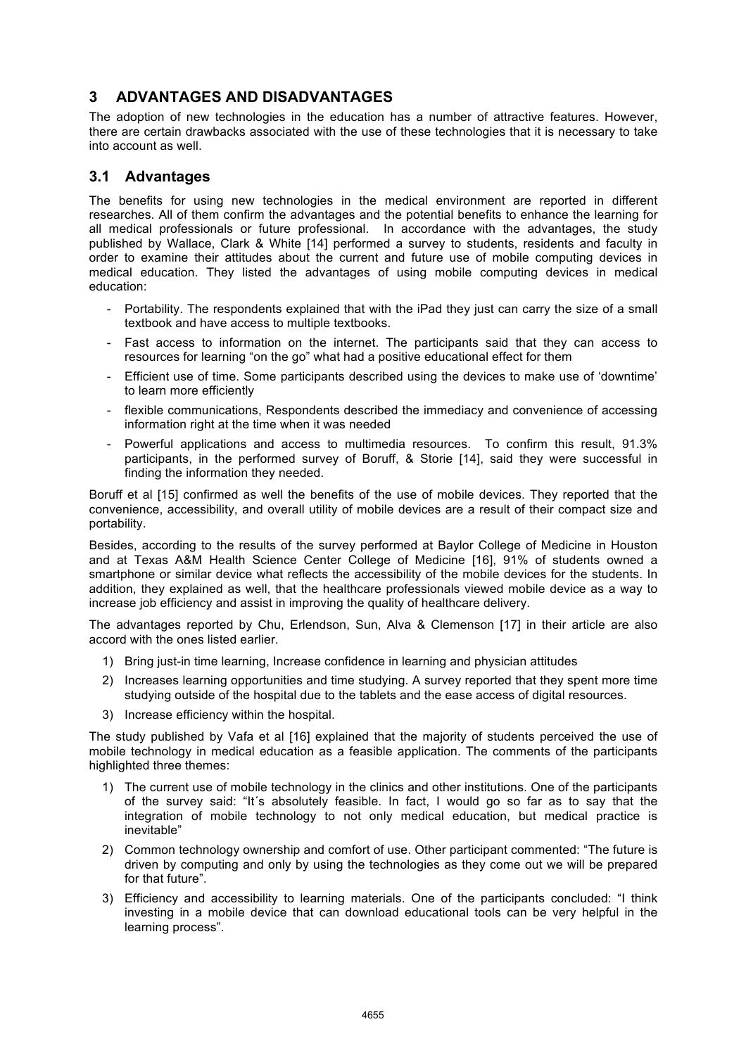## **3 ADVANTAGES AND DISADVANTAGES**

The adoption of new technologies in the education has a number of attractive features. However, there are certain drawbacks associated with the use of these technologies that it is necessary to take into account as well.

#### **3.1 Advantages**

The benefits for using new technologies in the medical environment are reported in different researches. All of them confirm the advantages and the potential benefits to enhance the learning for all medical professionals or future professional. In accordance with the advantages, the study published by Wallace, Clark & White [14] performed a survey to students, residents and faculty in order to examine their attitudes about the current and future use of mobile computing devices in medical education. They listed the advantages of using mobile computing devices in medical education:

- Portability. The respondents explained that with the iPad they just can carry the size of a small textbook and have access to multiple textbooks.
- Fast access to information on the internet. The participants said that they can access to resources for learning "on the go" what had a positive educational effect for them
- Efficient use of time. Some participants described using the devices to make use of 'downtime' to learn more efficiently
- flexible communications, Respondents described the immediacy and convenience of accessing information right at the time when it was needed
- Powerful applications and access to multimedia resources. To confirm this result, 91.3% participants, in the performed survey of Boruff, & Storie [14], said they were successful in finding the information they needed.

Boruff et al [15] confirmed as well the benefits of the use of mobile devices. They reported that the convenience, accessibility, and overall utility of mobile devices are a result of their compact size and portability.

Besides, according to the results of the survey performed at Baylor College of Medicine in Houston and at Texas A&M Health Science Center College of Medicine [16], 91% of students owned a smartphone or similar device what reflects the accessibility of the mobile devices for the students. In addition, they explained as well, that the healthcare professionals viewed mobile device as a way to increase job efficiency and assist in improving the quality of healthcare delivery.

The advantages reported by Chu, Erlendson, Sun, Alva & Clemenson [17] in their article are also accord with the ones listed earlier.

- 1) Bring just-in time learning, Increase confidence in learning and physician attitudes
- 2) Increases learning opportunities and time studying. A survey reported that they spent more time studying outside of the hospital due to the tablets and the ease access of digital resources.
- 3) Increase efficiency within the hospital.

The study published by Vafa et al [16] explained that the majority of students perceived the use of mobile technology in medical education as a feasible application. The comments of the participants highlighted three themes:

- 1) The current use of mobile technology in the clinics and other institutions. One of the participants of the survey said: "It´s absolutely feasible. In fact, I would go so far as to say that the integration of mobile technology to not only medical education, but medical practice is inevitable"
- 2) Common technology ownership and comfort of use. Other participant commented: "The future is driven by computing and only by using the technologies as they come out we will be prepared for that future".
- 3) Efficiency and accessibility to learning materials. One of the participants concluded: "I think investing in a mobile device that can download educational tools can be very helpful in the learning process".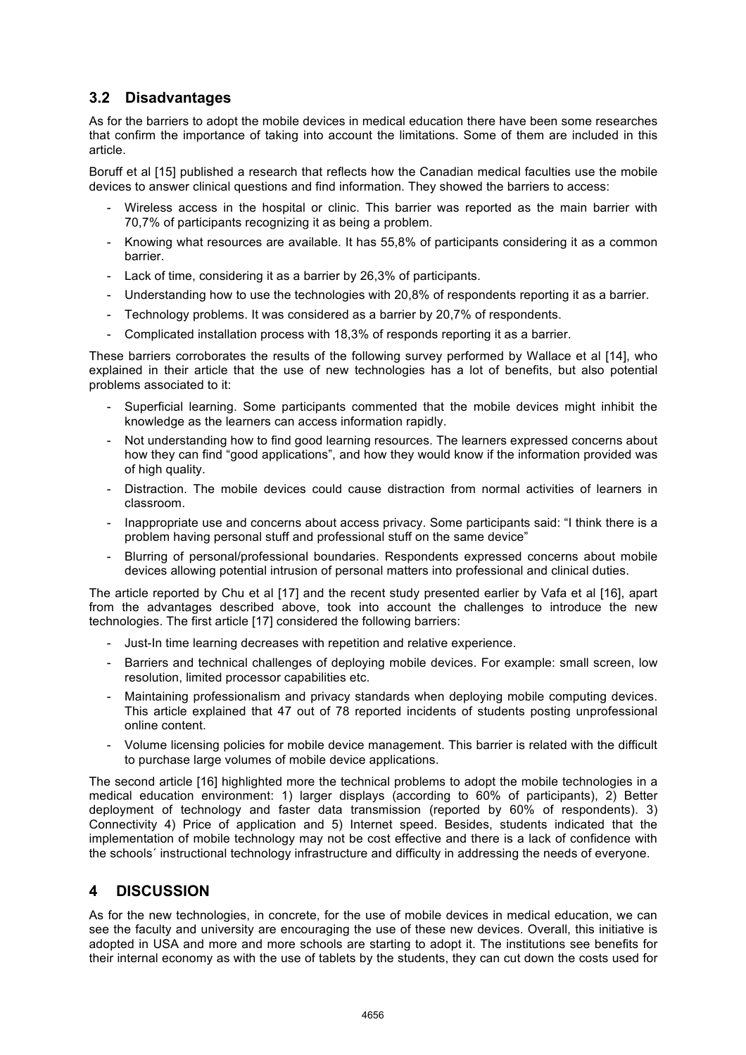### **3.2 Disadvantages**

As for the barriers to adopt the mobile devices in medical education there have been some researches that confirm the importance of taking into account the limitations. Some of them are included in this article.

Boruff et al [15] published a research that reflects how the Canadian medical faculties use the mobile devices to answer clinical questions and find information. They showed the barriers to access:

- Wireless access in the hospital or clinic. This barrier was reported as the main barrier with 70,7% of participants recognizing it as being a problem.
- Knowing what resources are available. It has 55,8% of participants considering it as a common barrier.
- Lack of time, considering it as a barrier by 26,3% of participants.
- Understanding how to use the technologies with 20,8% of respondents reporting it as a barrier.
- Technology problems. It was considered as a barrier by 20,7% of respondents.
- Complicated installation process with 18,3% of responds reporting it as a barrier.

These barriers corroborates the results of the following survey performed by Wallace et al [14], who explained in their article that the use of new technologies has a lot of benefits, but also potential problems associated to it:

- Superficial learning. Some participants commented that the mobile devices might inhibit the knowledge as the learners can access information rapidly.
- Not understanding how to find good learning resources. The learners expressed concerns about how they can find "good applications", and how they would know if the information provided was of high quality.
- Distraction. The mobile devices could cause distraction from normal activities of learners in classroom.
- Inappropriate use and concerns about access privacy. Some participants said: "I think there is a problem having personal stuff and professional stuff on the same device"
- Blurring of personal/professional boundaries. Respondents expressed concerns about mobile devices allowing potential intrusion of personal matters into professional and clinical duties.

The article reported by Chu et al [17] and the recent study presented earlier by Vafa et al [16], apart from the advantages described above, took into account the challenges to introduce the new technologies. The first article [17] considered the following barriers:

- Just-In time learning decreases with repetition and relative experience.
- Barriers and technical challenges of deploying mobile devices. For example: small screen, low resolution, limited processor capabilities etc.
- Maintaining professionalism and privacy standards when deploying mobile computing devices. This article explained that 47 out of 78 reported incidents of students posting unprofessional online content.
- Volume licensing policies for mobile device management. This barrier is related with the difficult to purchase large volumes of mobile device applications.

The second article [16] highlighted more the technical problems to adopt the mobile technologies in a medical education environment: 1) larger displays (according to 60% of participants), 2) Better deployment of technology and faster data transmission (reported by 60% of respondents). 3) Connectivity 4) Price of application and 5) Internet speed. Besides, students indicated that the implementation of mobile technology may not be cost effective and there is a lack of confidence with the schools´ instructional technology infrastructure and difficulty in addressing the needs of everyone.

#### **4 DISCUSSION**

As for the new technologies, in concrete, for the use of mobile devices in medical education, we can see the faculty and university are encouraging the use of these new devices. Overall, this initiative is adopted in USA and more and more schools are starting to adopt it. The institutions see benefits for their internal economy as with the use of tablets by the students, they can cut down the costs used for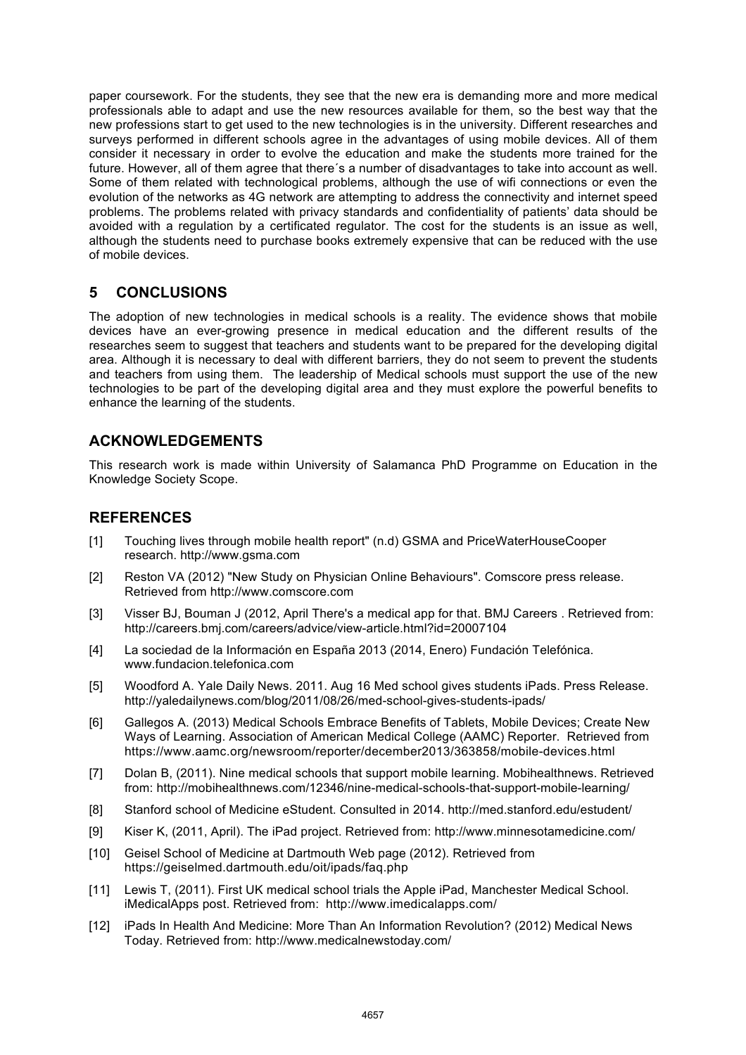paper coursework. For the students, they see that the new era is demanding more and more medical professionals able to adapt and use the new resources available for them, so the best way that the new professions start to get used to the new technologies is in the university. Different researches and surveys performed in different schools agree in the advantages of using mobile devices. All of them consider it necessary in order to evolve the education and make the students more trained for the future. However, all of them agree that there´s a number of disadvantages to take into account as well. Some of them related with technological problems, although the use of wifi connections or even the evolution of the networks as 4G network are attempting to address the connectivity and internet speed problems. The problems related with privacy standards and confidentiality of patients' data should be avoided with a regulation by a certificated regulator. The cost for the students is an issue as well, although the students need to purchase books extremely expensive that can be reduced with the use of mobile devices.

### **5 CONCLUSIONS**

The adoption of new technologies in medical schools is a reality. The evidence shows that mobile devices have an ever-growing presence in medical education and the different results of the researches seem to suggest that teachers and students want to be prepared for the developing digital area. Although it is necessary to deal with different barriers, they do not seem to prevent the students and teachers from using them. The leadership of Medical schools must support the use of the new technologies to be part of the developing digital area and they must explore the powerful benefits to enhance the learning of the students.

### **ACKNOWLEDGEMENTS**

This research work is made within University of Salamanca PhD Programme on Education in the Knowledge Society Scope.

#### **REFERENCES**

- [1] Touching lives through mobile health report" (n.d) GSMA and PriceWaterHouseCooper research. http://www.gsma.com
- [2] Reston VA (2012) "New Study on Physician Online Behaviours". Comscore press release. Retrieved from http://www.comscore.com
- [3] Visser BJ, Bouman J (2012, April There's a medical app for that. BMJ Careers . Retrieved from: http://careers.bmj.com/careers/advice/view-article.html?id=20007104
- [4] La sociedad de la Información en España 2013 (2014, Enero) Fundación Telefónica. www.fundacion.telefonica.com
- [5] Woodford A. Yale Daily News. 2011. Aug 16 Med school gives students iPads. Press Release. http://yaledailynews.com/blog/2011/08/26/med-school-gives-students-ipads/
- [6] Gallegos A. (2013) Medical Schools Embrace Benefits of Tablets, Mobile Devices; Create New Ways of Learning. Association of American Medical College (AAMC) Reporter. Retrieved from https://www.aamc.org/newsroom/reporter/december2013/363858/mobile-devices.html
- [7] Dolan B, (2011). Nine medical schools that support mobile learning. Mobihealthnews. Retrieved from: http://mobihealthnews.com/12346/nine-medical-schools-that-support-mobile-learning/
- [8] Stanford school of Medicine eStudent. Consulted in 2014. http://med.stanford.edu/estudent/
- [9] Kiser K, (2011, April). The iPad project. Retrieved from: http://www.minnesotamedicine.com/
- [10] Geisel School of Medicine at Dartmouth Web page (2012). Retrieved from https://geiselmed.dartmouth.edu/oit/ipads/faq.php
- [11] Lewis T, (2011). First UK medical school trials the Apple iPad, Manchester Medical School. iMedicalApps post. Retrieved from: http://www.imedicalapps.com/
- [12] iPads In Health And Medicine: More Than An Information Revolution? (2012) Medical News Today. Retrieved from: http://www.medicalnewstoday.com/